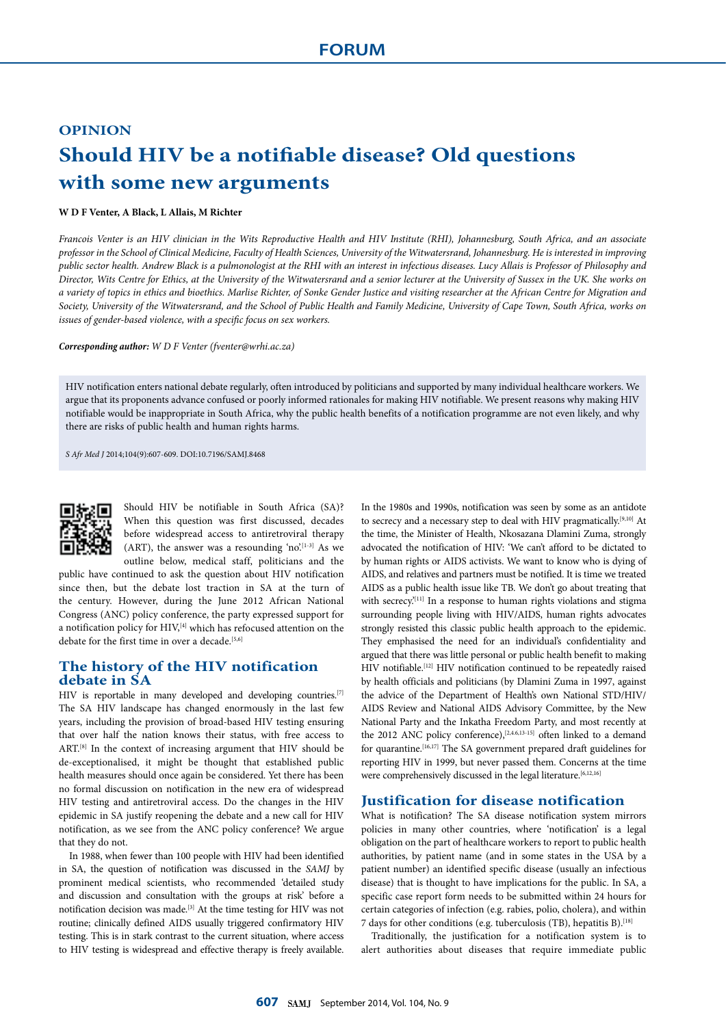# **OPINION Should HIV be a notifiable disease? Old questions with some new arguments**

#### **W D F Venter, A Black, L Allais, M Richter**

*Francois Venter is an HIV clinician in the Wits Reproductive Health and HIV Institute (RHI), Johannesburg, South Africa, and an associate professor in the School of Clinical Medicine, Faculty of Health Sciences, University of the Witwatersrand, Johannesburg. He is interested in improving public sector health. Andrew Black is a pulmonologist at the RHI with an interest in infectious diseases. Lucy Allais is Professor of Philosophy and Director, Wits Centre for Ethics, at the University of the Witwatersrand and a senior lecturer at the University of Sussex in the UK. She works on a variety of topics in ethics and bioethics. Marlise Richter, of Sonke Gender Justice and visiting researcher at the African Centre for Migration and Society, University of the Witwatersrand, and the School of Public Health and Family Medicine, University of Cape Town, South Africa, works on issues of gender-based violence, with a specific focus on sex workers.* 

*Corresponding author: W D F Venter ([fventer@wrhi.ac.za\)](mailto:fventer@wrhi.ac.za)*

HIV notification enters national debate regularly, often introduced by politicians and supported by many individual healthcare workers. We argue that its proponents advance confused or poorly informed rationales for making HIV notifiable. We present reasons why making HIV notifiable would be inappropriate in South Africa, why the public health benefits of a notification programme are not even likely, and why there are risks of public health and human rights harms.

*S Afr Med J* 2014;104(9):607-609. DOI:10.7196/SAMJ.8468



Should HIV be notifiable in South Africa (SA)? When this question was first discussed, decades before widespread access to antiretroviral therapy (ART), the answer was a resounding 'no'.<sup>[1-3]</sup> As we outline below, medical staff, politicians and the

public have continued to ask the question about HIV notification since then, but the debate lost traction in SA at the turn of the century. However, during the June 2012 African National Congress (ANC) policy conference, the party expressed support for a notification policy for HIV,<sup>[4]</sup> which has refocused attention on the debate for the first time in over a decade.<sup>[5,6]</sup>

# **The history of the HIV notification debate in SA**

HIV is reportable in many developed and developing countries.<sup>[7]</sup> The SA HIV landscape has changed enormously in the last few years, including the provision of broad-based HIV testing ensuring that over half the nation knows their status, with free access to ART.[8] In the context of increasing argument that HIV should be de-exceptionalised, it might be thought that established public health measures should once again be considered. Yet there has been no formal discussion on notification in the new era of widespread HIV testing and antiretroviral access. Do the changes in the HIV epidemic in SA justify reopening the debate and a new call for HIV notification, as we see from the ANC policy conference? We argue that they do not.

In 1988, when fewer than 100 people with HIV had been identified in SA, the question of notification was discussed in the *SAMJ* by prominent medical scientists, who recommended 'detailed study and discussion and consultation with the groups at risk' before a notification decision was made.[3] At the time testing for HIV was not routine; clinically defined AIDS usually triggered confirmatory HIV testing. This is in stark contrast to the current situation, where access to HIV testing is widespread and effective therapy is freely available.

In the 1980s and 1990s, notification was seen by some as an antidote to secrecy and a necessary step to deal with HIV pragmatically.[9,10] At the time, the Minister of Health, Nkosazana Dlamini Zuma, strongly advocated the notification of HIV: 'We can't afford to be dictated to by human rights or AIDS activists. We want to know who is dying of AIDS, and relatives and partners must be notified. It is time we treated AIDS as a public health issue like TB. We don't go about treating that with secrecy.<sup>'[11]</sup> In a response to human rights violations and stigma surrounding people living with HIV/AIDS, human rights advocates strongly resisted this classic public health approach to the epidemic. They emphasised the need for an individual's confidentiality and argued that there was little personal or public health benefit to making HIV notifiable.<sup>[12]</sup> HIV notification continued to be repeatedly raised by health officials and politicians (by Dlamini Zuma in 1997, against the advice of the Department of Health's own National STD/HIV/ AIDS Review and National AIDS Advisory Committee, by the New National Party and the Inkatha Freedom Party, and most recently at the 2012 ANC policy conference),<sup>[2,4.6,13-15]</sup> often linked to a demand for quarantine.<sup>[16,17]</sup> The SA government prepared draft guidelines for reporting HIV in 1999, but never passed them. Concerns at the time were comprehensively discussed in the legal literature.<sup>[6,12,16]</sup>

## **Justification for disease notification**

What is notification? The SA disease notification system mirrors policies in many other countries, where 'notification' is a legal obligation on the part of healthcare workers to report to public health authorities, by patient name (and in some states in the USA by a patient number) an identified specific disease (usually an infectious disease) that is thought to have implications for the public. In SA, a specific case report form needs to be submitted within 24 hours for certain categories of infection (e.g. rabies, polio, cholera), and within 7 days for other conditions (e.g. tuberculosis (TB), hepatitis B).[18]

Traditionally, the justification for a notification system is to alert authorities about diseases that require immediate public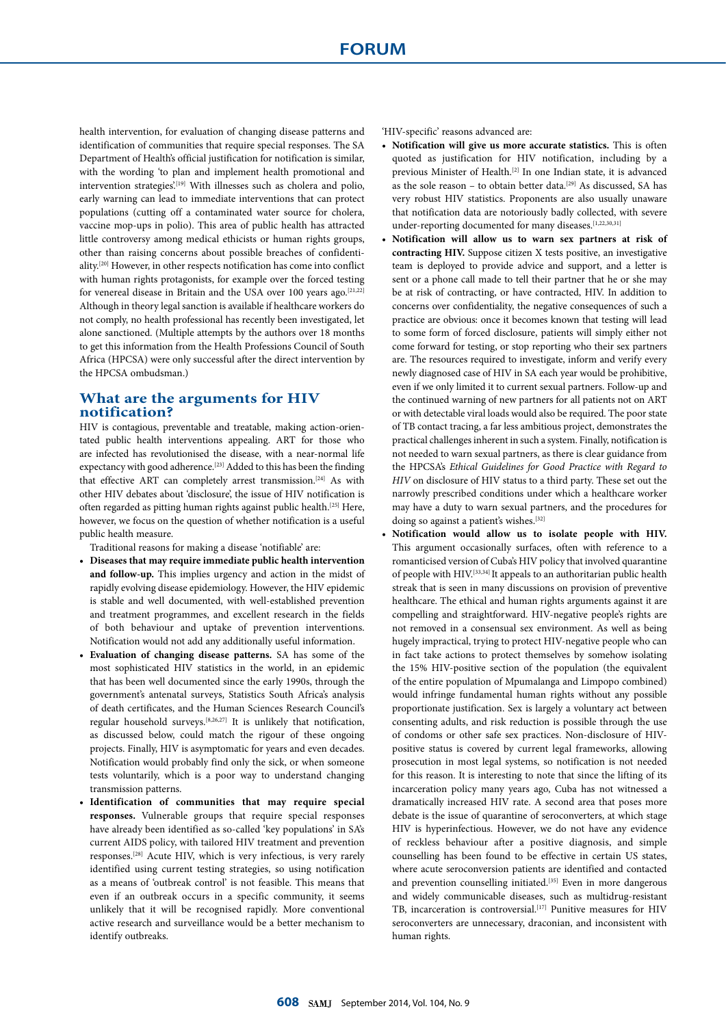health intervention, for evaluation of changing disease patterns and identification of communities that require special responses. The SA Department of Health's official justification for notification is similar, with the wording 'to plan and implement health promotional and intervention strategies'.<sup>[19]</sup> With illnesses such as cholera and polio, early warning can lead to immediate interventions that can protect populations (cutting off a contaminated water source for cholera, vaccine mop-ups in polio). This area of public health has attracted little controversy among medical ethicists or human rights groups, other than raising concerns about possible breaches of confidentiality.[20] However, in other respects notification has come into conflict with human rights protagonists, for example over the forced testing for venereal disease in Britain and the USA over 100 years ago.[21,22] Although in theory legal sanction is available if healthcare workers do not comply, no health professional has recently been investigated, let alone sanctioned. (Multiple attempts by the authors over 18 months to get this information from the Health Professions Council of South Africa (HPCSA) were only successful after the direct intervention by the HPCSA ombudsman.)

# **What are the arguments for HIV notification?**

HIV is contagious, preventable and treatable, making action-orientated public health interventions appealing. ART for those who are infected has revolutionised the disease, with a near-normal life expectancy with good adherence.<sup>[23]</sup> Added to this has been the finding that effective ART can completely arrest transmission.[24] As with other HIV debates about 'disclosure', the issue of HIV notification is often regarded as pitting human rights against public health.[25] Here, however, we focus on the question of whether notification is a useful public health measure.

Traditional reasons for making a disease 'notifiable' are:

- **• Diseases that may require immediate public health intervention and follow-up.** This implies urgency and action in the midst of rapidly evolving disease epidemiology. However, the HIV epidemic is stable and well documented, with well-established prevention and treatment programmes, and excellent research in the fields of both behaviour and uptake of prevention interventions. Notification would not add any additionally useful information.
- **• Evaluation of changing disease patterns.** SA has some of the most sophisticated HIV statistics in the world, in an epidemic that has been well documented since the early 1990s, through the government's antenatal surveys, Statistics South Africa's analysis of death certificates, and the Human Sciences Research Council's regular household surveys.[8,26,27] It is unlikely that notification, as discussed below, could match the rigour of these ongoing projects. Finally, HIV is asymptomatic for years and even decades. Notification would probably find only the sick, or when someone tests voluntarily, which is a poor way to understand changing transmission patterns.
- **• Identification of communities that may require special responses.** Vulnerable groups that require special responses have already been identified as so-called 'key populations' in SA's current AIDS policy, with tailored HIV treatment and prevention responses.[28] Acute HIV, which is very infectious, is very rarely identified using current testing strategies, so using notification as a means of 'outbreak control' is not feasible. This means that even if an outbreak occurs in a specific community, it seems unlikely that it will be recognised rapidly. More conventional active research and surveillance would be a better mechanism to identify outbreaks.

'HIV-specific' reasons advanced are:

- **• Notification will give us more accurate statistics.** This is often quoted as justification for HIV notification, including by a previous Minister of Health.[2] In one Indian state, it is advanced as the sole reason - to obtain better data.<sup>[29]</sup> As discussed, SA has very robust HIV statistics. Proponents are also usually unaware that notification data are notoriously badly collected, with severe under-reporting documented for many diseases.<sup>[1,22,30,31]</sup>
- **• Notification will allow us to warn sex partners at risk of contracting HIV.** Suppose citizen X tests positive, an investigative team is deployed to provide advice and support, and a letter is sent or a phone call made to tell their partner that he or she may be at risk of contracting, or have contracted, HIV. In addition to concerns over confidentiality, the negative consequences of such a practice are obvious: once it becomes known that testing will lead to some form of forced disclosure, patients will simply either not come forward for testing, or stop reporting who their sex partners are. The resources required to investigate, inform and verify every newly diagnosed case of HIV in SA each year would be prohibitive, even if we only limited it to current sexual partners. Follow-up and the continued warning of new partners for all patients not on ART or with detectable viral loads would also be required. The poor state of TB contact tracing, a far less ambitious project, demonstrates the practical challenges inherent in such a system. Finally, notification is not needed to warn sexual partners, as there is clear guidance from the HPCSA's *Ethical Guidelines for Good Practice with Regard to HIV* on disclosure of HIV status to a third party. These set out the narrowly prescribed conditions under which a healthcare worker may have a duty to warn sexual partners, and the procedures for doing so against a patient's wishes.<sup>[32]</sup>
- **• Notification would allow us to isolate people with HIV.** This argument occasionally surfaces, often with reference to a romanticised version of Cuba's HIV policy that involved quarantine of people with HIV.[33,34] It appeals to an authoritarian public health streak that is seen in many discussions on provision of preventive healthcare. The ethical and human rights arguments against it are compelling and straightforward. HIV-negative people's rights are not removed in a consensual sex environment. As well as being hugely impractical, trying to protect HIV-negative people who can in fact take actions to protect themselves by somehow isolating the 15% HIV-positive section of the population (the equivalent of the entire population of Mpumalanga and Limpopo combined) would infringe fundamental human rights without any possible proportionate justification. Sex is largely a voluntary act between consenting adults, and risk reduction is possible through the use of condoms or other safe sex practices. Non-disclosure of HIVpositive status is covered by current legal frameworks, allowing prosecution in most legal systems, so notification is not needed for this reason. It is interesting to note that since the lifting of its incarceration policy many years ago, Cuba has not witnessed a dramatically increased HIV rate. A second area that poses more debate is the issue of quarantine of seroconverters, at which stage HIV is hyperinfectious. However, we do not have any evidence of reckless behaviour after a positive diagnosis, and simple counselling has been found to be effective in certain US states, where acute seroconversion patients are identified and contacted and prevention counselling initiated.<sup>[35]</sup> Even in more dangerous and widely communicable diseases, such as multidrug-resistant TB, incarceration is controversial.<sup>[17]</sup> Punitive measures for HIV seroconverters are unnecessary, draconian, and inconsistent with human rights.